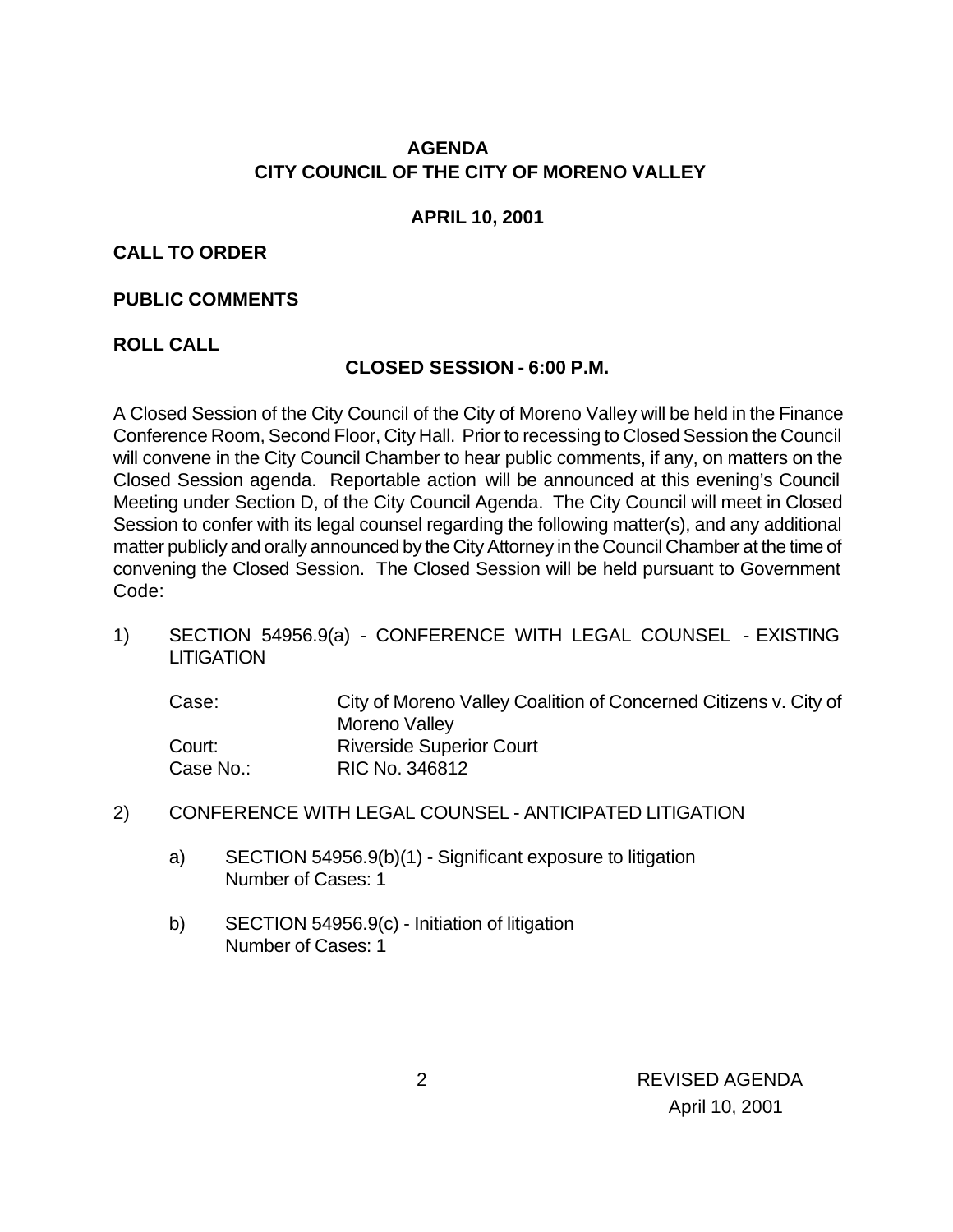# **AGENDA CITY COUNCIL OF THE CITY OF MORENO VALLEY**

#### **APRIL 10, 2001**

#### **CALL TO ORDER**

#### **PUBLIC COMMENTS**

### **ROLL CALL**

### **CLOSED SESSION - 6:00 P.M.**

A Closed Session of the City Council of the City of Moreno Valley will be held in the Finance Conference Room, Second Floor, City Hall. Prior to recessing to Closed Session the Council will convene in the City Council Chamber to hear public comments, if any, on matters on the Closed Session agenda. Reportable action will be announced at this evening's Council Meeting under Section D, of the City Council Agenda. The City Council will meet in Closed Session to confer with its legal counsel regarding the following matter(s), and any additional matter publicly and orally announced by the City Attorney in the Council Chamber at the time of convening the Closed Session. The Closed Session will be held pursuant to Government Code:

1) SECTION 54956.9(a) - CONFERENCE WITH LEGAL COUNSEL - EXISTING **LITIGATION** 

| Case:     | City of Moreno Valley Coalition of Concerned Citizens v. City of |
|-----------|------------------------------------------------------------------|
|           | Moreno Valley                                                    |
| Court:    | <b>Riverside Superior Court</b>                                  |
| Case No.: | RIC No. 346812                                                   |

#### 2) CONFERENCE WITH LEGAL COUNSEL - ANTICIPATED LITIGATION

- a) SECTION 54956.9(b)(1) Significant exposure to litigation Number of Cases: 1
- b) SECTION 54956.9(c) Initiation of litigation Number of Cases: 1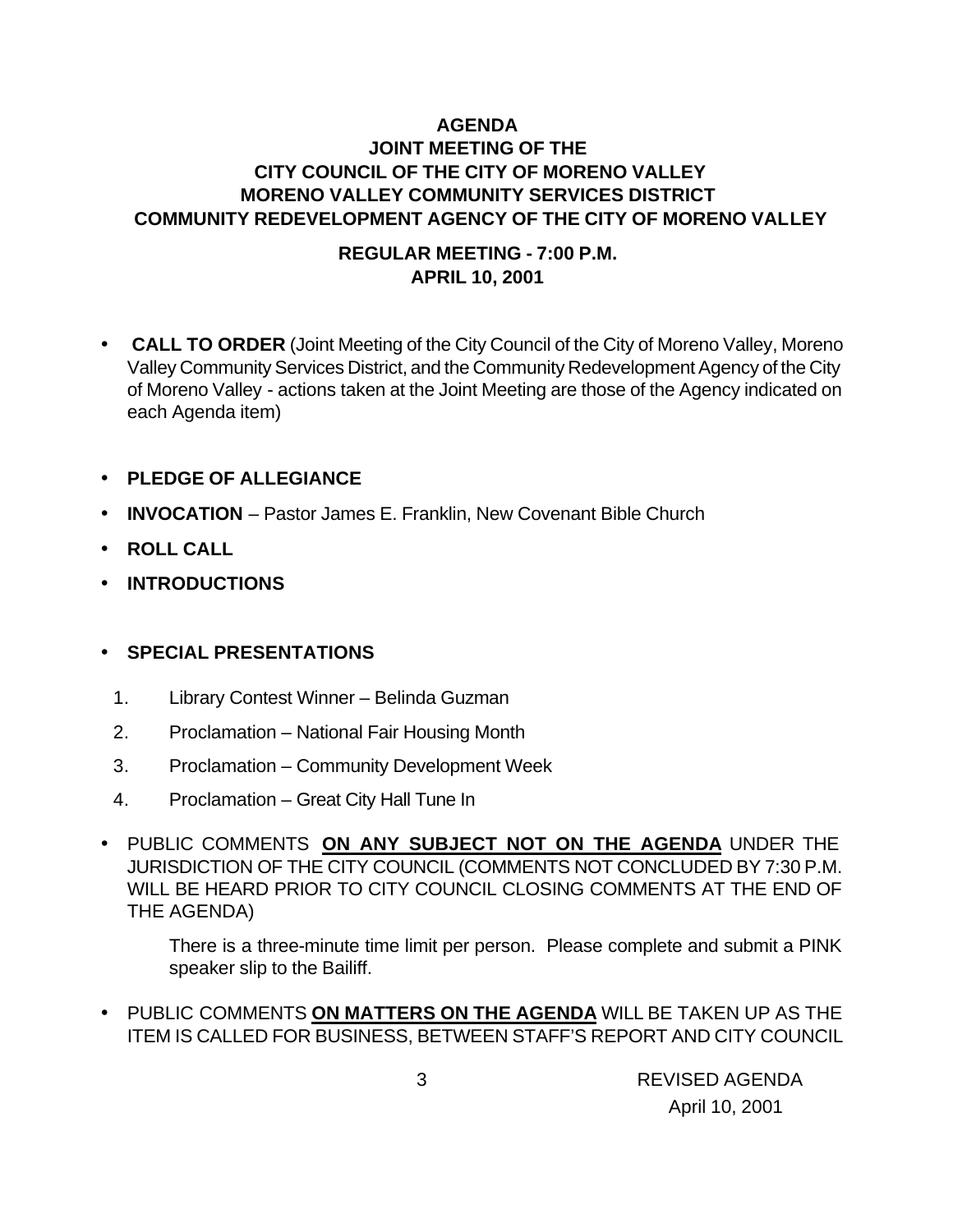# **AGENDA JOINT MEETING OF THE CITY COUNCIL OF THE CITY OF MORENO VALLEY MORENO VALLEY COMMUNITY SERVICES DISTRICT COMMUNITY REDEVELOPMENT AGENCY OF THE CITY OF MORENO VALLEY**

### **REGULAR MEETING - 7:00 P.M. APRIL 10, 2001**

- • **CALL TO ORDER** (Joint Meeting of the City Council of the City of Moreno Valley, Moreno Valley Community Services District, and the Community Redevelopment Agency of the City of Moreno Valley - actions taken at the Joint Meeting are those of the Agency indicated on each Agenda item)
- **PLEDGE OF ALLEGIANCE**
- **INVOCATION** Pastor James E. Franklin, New Covenant Bible Church
- **ROLL CALL**
- **INTRODUCTIONS**

#### • **SPECIAL PRESENTATIONS**

- 1. Library Contest Winner Belinda Guzman
- 2. Proclamation National Fair Housing Month
- 3. Proclamation Community Development Week
- 4. Proclamation Great City Hall Tune In
- PUBLIC COMMENTS **ON ANY SUBJECT NOT ON THE AGENDA** UNDER THE JURISDICTION OF THE CITY COUNCIL (COMMENTS NOT CONCLUDED BY 7:30 P.M. WILL BE HEARD PRIOR TO CITY COUNCIL CLOSING COMMENTS AT THE END OF THE AGENDA)

There is a three-minute time limit per person. Please complete and submit a PINK speaker slip to the Bailiff.

• PUBLIC COMMENTS **ON MATTERS ON THE AGENDA** WILL BE TAKEN UP AS THE ITEM IS CALLED FOR BUSINESS, BETWEEN STAFF'S REPORT AND CITY COUNCIL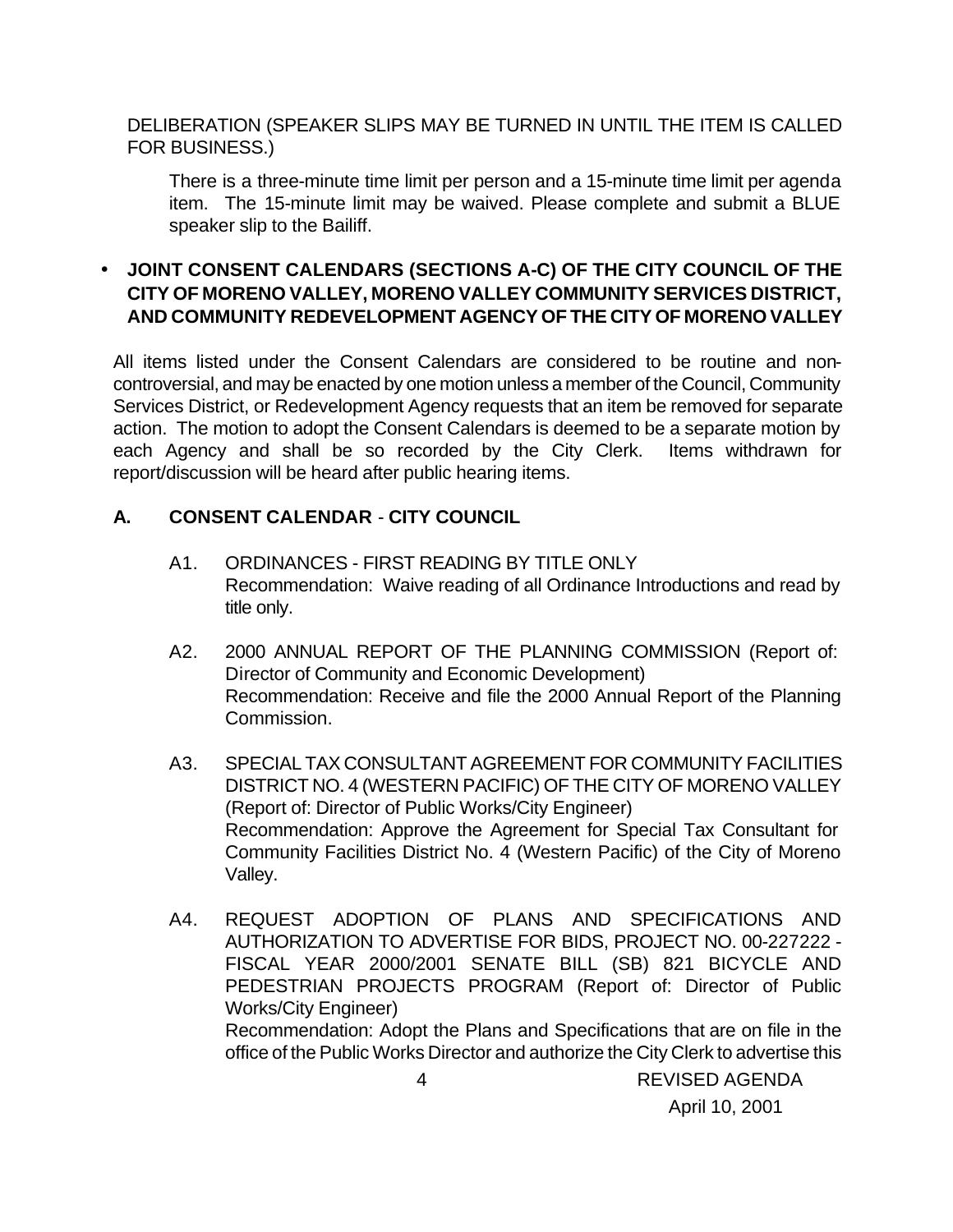DELIBERATION (SPEAKER SLIPS MAY BE TURNED IN UNTIL THE ITEM IS CALLED FOR BUSINESS.)

There is a three-minute time limit per person and a 15-minute time limit per agenda item. The 15-minute limit may be waived. Please complete and submit a BLUE speaker slip to the Bailiff.

# • **JOINT CONSENT CALENDARS (SECTIONS A-C) OF THE CITY COUNCIL OF THE CITY OF MORENO VALLEY, MORENO VALLEY COMMUNITY SERVICES DISTRICT, AND COMMUNITY REDEVELOPMENT AGENCY OF THE CITY OF MORENO VALLEY**

All items listed under the Consent Calendars are considered to be routine and noncontroversial, and may be enacted by one motion unless a member of the Council, Community Services District, or Redevelopment Agency requests that an item be removed for separate action. The motion to adopt the Consent Calendars is deemed to be a separate motion by each Agency and shall be so recorded by the City Clerk. Items withdrawn for report/discussion will be heard after public hearing items.

### **A. CONSENT CALENDAR** - **CITY COUNCIL**

- A1. ORDINANCES FIRST READING BY TITLE ONLY Recommendation: Waive reading of all Ordinance Introductions and read by title only.
- A2. 2000 ANNUAL REPORT OF THE PLANNING COMMISSION (Report of: Director of Community and Economic Development) Recommendation: Receive and file the 2000 Annual Report of the Planning Commission.
- A3. SPECIAL TAX CONSULTANT AGREEMENT FOR COMMUNITY FACILITIES DISTRICT NO. 4 (WESTERN PACIFIC) OF THE CITY OF MORENO VALLEY (Report of: Director of Public Works/City Engineer) Recommendation: Approve the Agreement for Special Tax Consultant for Community Facilities District No. 4 (Western Pacific) of the City of Moreno Valley.
- A4. REQUEST ADOPTION OF PLANS AND SPECIFICATIONS AND AUTHORIZATION TO ADVERTISE FOR BIDS, PROJECT NO. 00-227222 - FISCAL YEAR 2000/2001 SENATE BILL (SB) 821 BICYCLE AND PEDESTRIAN PROJECTS PROGRAM (Report of: Director of Public Works/City Engineer) Recommendation: Adopt the Plans and Specifications that are on file in the office of the Public Works Director and authorize the City Clerk to advertise this

 4 REVISED AGENDA April 10, 2001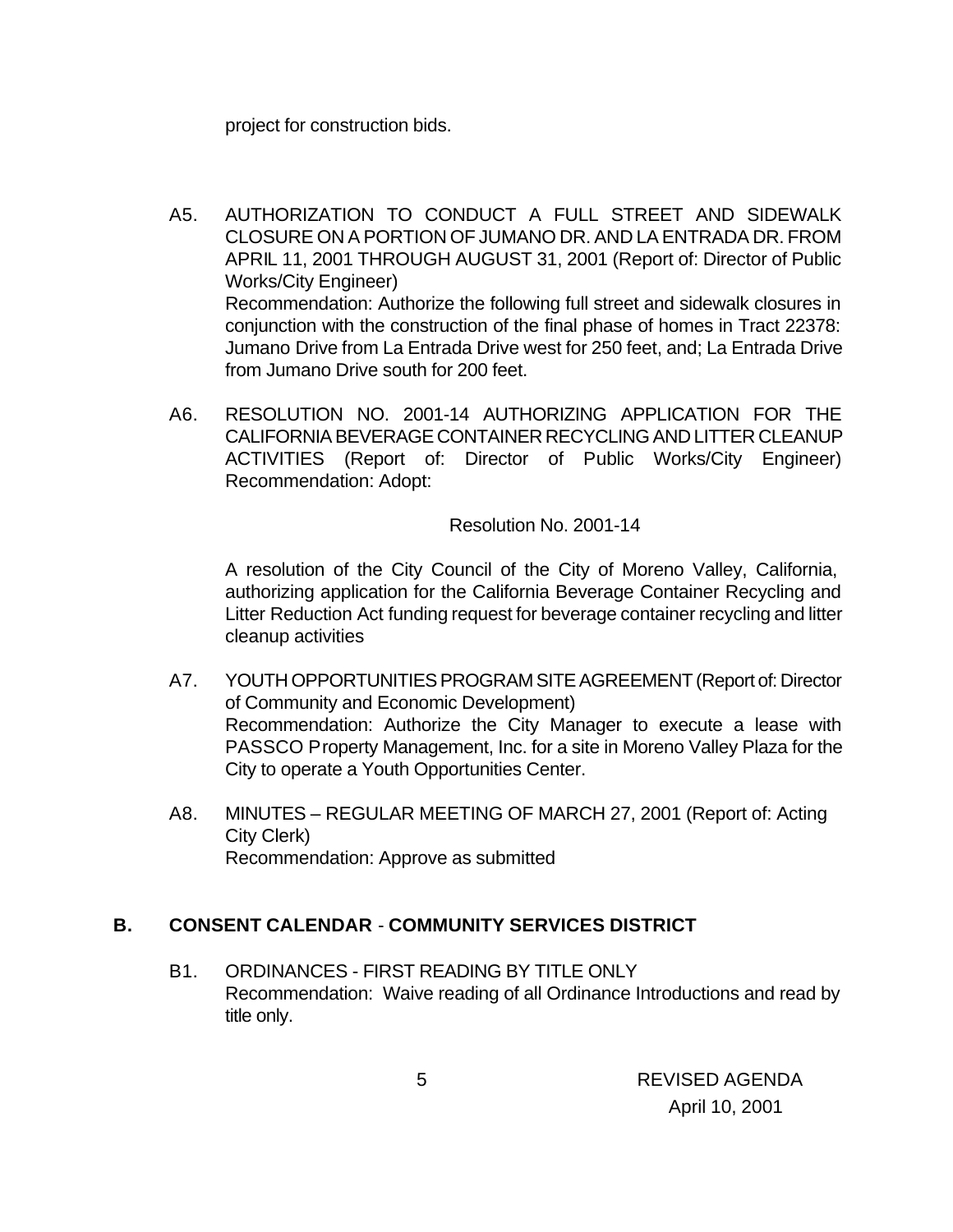project for construction bids.

- A5. AUTHORIZATION TO CONDUCT A FULL STREET AND SIDEWALK CLOSURE ON A PORTION OF JUMANO DR. AND LA ENTRADA DR. FROM APRIL 11, 2001 THROUGH AUGUST 31, 2001 (Report of: Director of Public Works/City Engineer) Recommendation: Authorize the following full street and sidewalk closures in conjunction with the construction of the final phase of homes in Tract 22378: Jumano Drive from La Entrada Drive west for 250 feet, and; La Entrada Drive from Jumano Drive south for 200 feet.
- A6. RESOLUTION NO. 2001-14 AUTHORIZING APPLICATION FOR THE CALIFORNIA BEVERAGE CONTAINER RECYCLING AND LITTER CLEANUP ACTIVITIES (Report of: Director of Public Works/City Engineer) Recommendation: Adopt:

Resolution No. 2001-14

A resolution of the City Council of the City of Moreno Valley, California, authorizing application for the California Beverage Container Recycling and Litter Reduction Act funding request for beverage container recycling and litter cleanup activities

- A7. YOUTH OPPORTUNITIES PROGRAM SITE AGREEMENT (Report of: Director of Community and Economic Development) Recommendation: Authorize the City Manager to execute a lease with PASSCO Property Management, Inc. for a site in Moreno Valley Plaza for the City to operate a Youth Opportunities Center.
- A8. MINUTES REGULAR MEETING OF MARCH 27, 2001 (Report of: Acting City Clerk) Recommendation: Approve as submitted

#### **B. CONSENT CALENDAR** - **COMMUNITY SERVICES DISTRICT**

B1. ORDINANCES - FIRST READING BY TITLE ONLY Recommendation: Waive reading of all Ordinance Introductions and read by title only.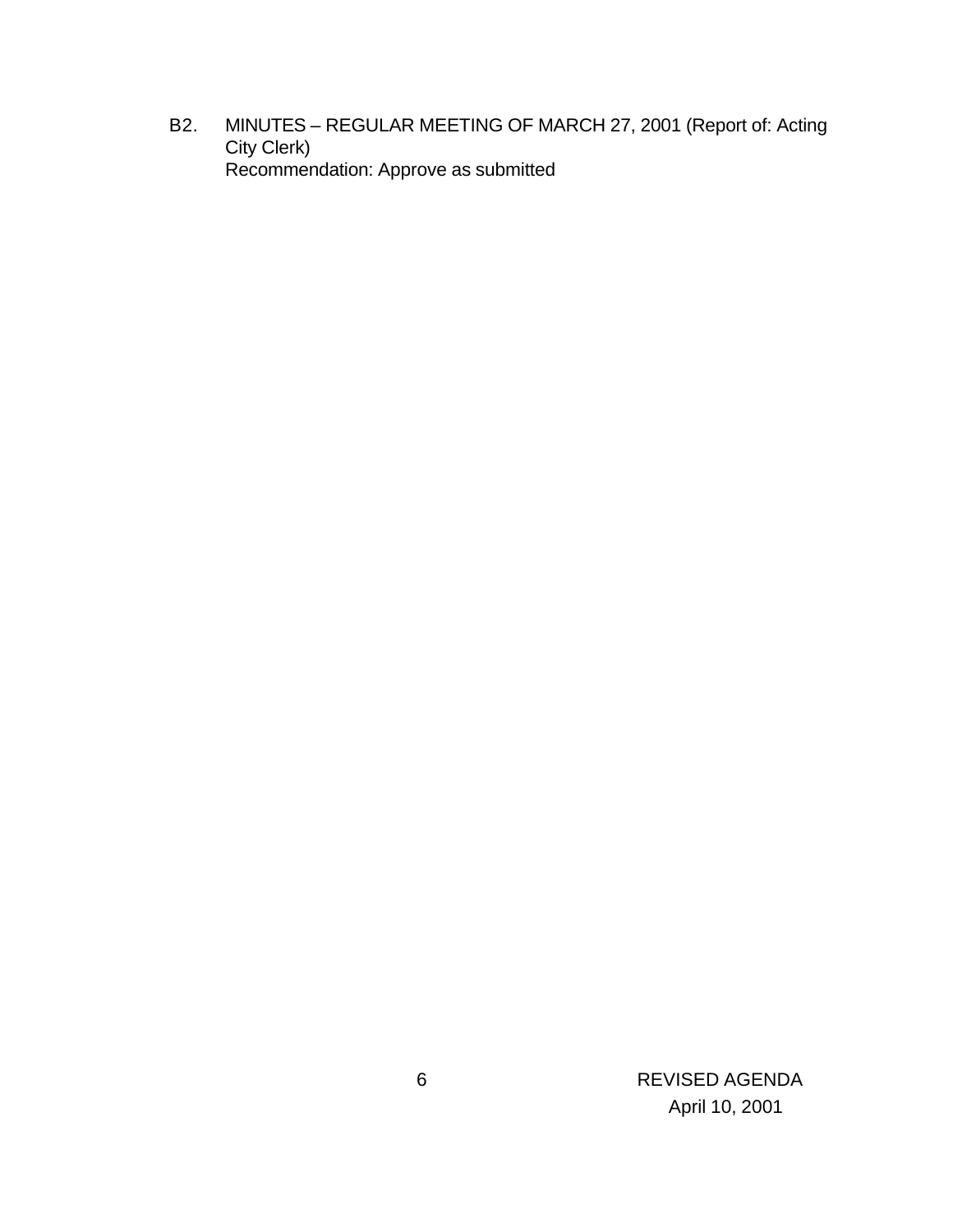B2. MINUTES – REGULAR MEETING OF MARCH 27, 2001 (Report of: Acting City Clerk) Recommendation: Approve as submitted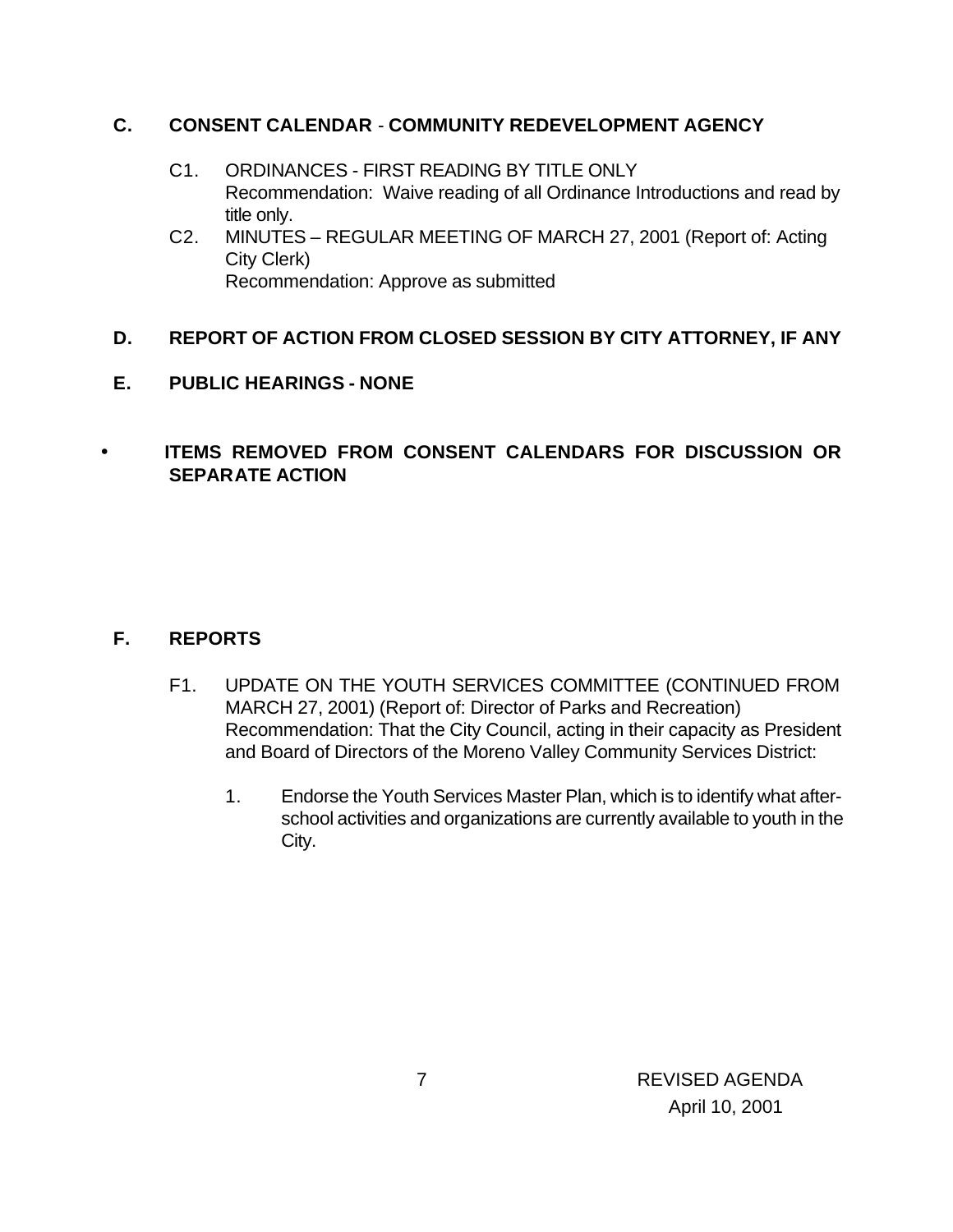### **C. CONSENT CALENDAR** - **COMMUNITY REDEVELOPMENT AGENCY**

- C1. ORDINANCES FIRST READING BY TITLE ONLY Recommendation: Waive reading of all Ordinance Introductions and read by title only.
- C2. MINUTES REGULAR MEETING OF MARCH 27, 2001 (Report of: Acting City Clerk) Recommendation: Approve as submitted

### **D. REPORT OF ACTION FROM CLOSED SESSION BY CITY ATTORNEY, IF ANY**

**E. PUBLIC HEARINGS - NONE**

# • **ITEMS REMOVED FROM CONSENT CALENDARS FOR DISCUSSION OR SEPARATE ACTION**

### **F. REPORTS**

- F1. UPDATE ON THE YOUTH SERVICES COMMITTEE (CONTINUED FROM MARCH 27, 2001) (Report of: Director of Parks and Recreation) Recommendation: That the City Council, acting in their capacity as President and Board of Directors of the Moreno Valley Community Services District:
	- 1. Endorse the Youth Services Master Plan, which is to identify what afterschool activities and organizations are currently available to youth in the City.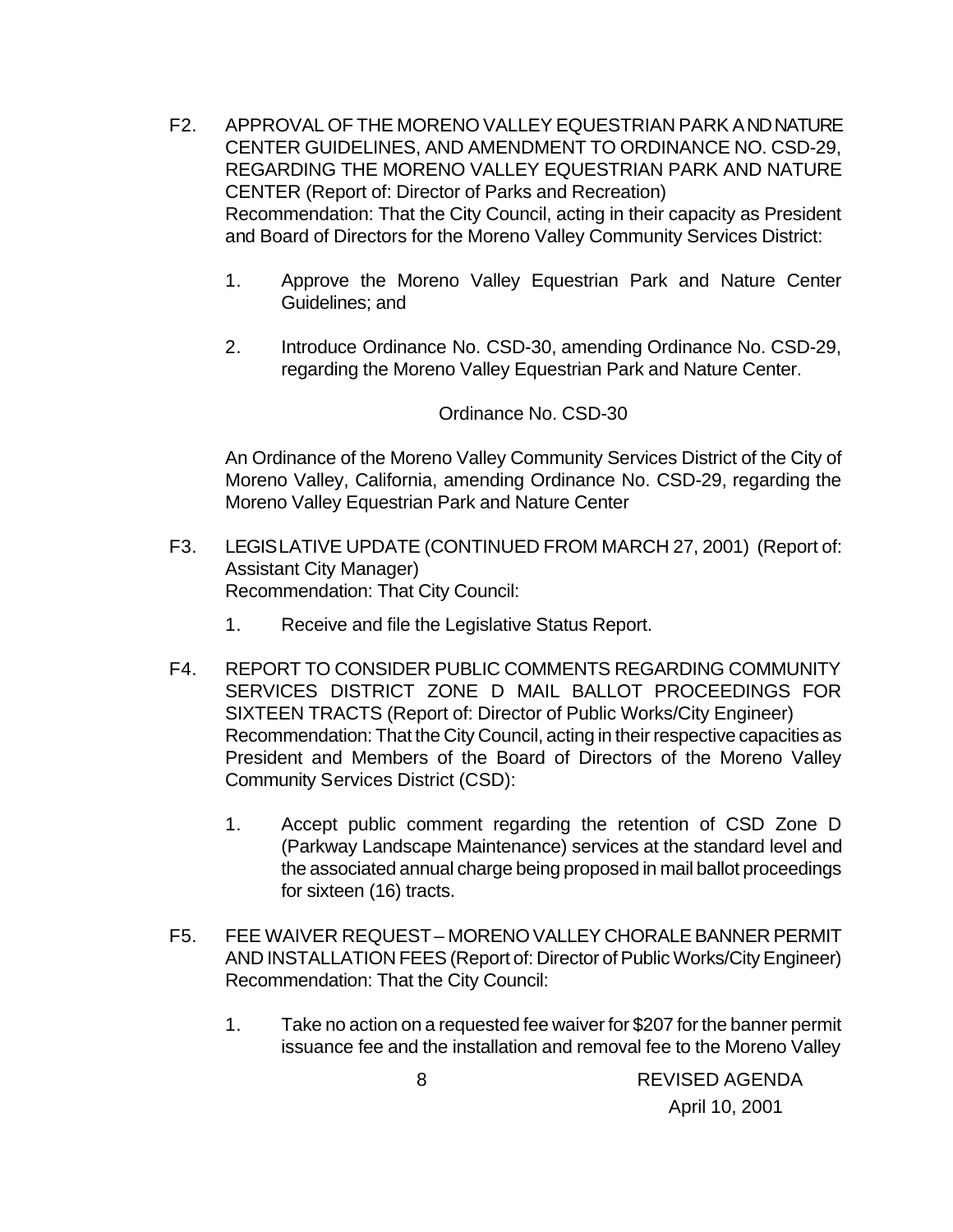- F2. APPROVAL OF THE MORENO VALLEY EQUESTRIAN PARK AND NATURE CENTER GUIDELINES, AND AMENDMENT TO ORDINANCE NO. CSD-29, REGARDING THE MORENO VALLEY EQUESTRIAN PARK AND NATURE CENTER (Report of: Director of Parks and Recreation) Recommendation: That the City Council, acting in their capacity as President and Board of Directors for the Moreno Valley Community Services District:
	- 1. Approve the Moreno Valley Equestrian Park and Nature Center Guidelines; and
	- 2. Introduce Ordinance No. CSD-30, amending Ordinance No. CSD-29, regarding the Moreno Valley Equestrian Park and Nature Center.

#### Ordinance No. CSD-30

An Ordinance of the Moreno Valley Community Services District of the City of Moreno Valley, California, amending Ordinance No. CSD-29, regarding the Moreno Valley Equestrian Park and Nature Center

- F3. LEGISLATIVE UPDATE (CONTINUED FROM MARCH 27, 2001) (Report of: Assistant City Manager) Recommendation: That City Council:
	- 1. Receive and file the Legislative Status Report.
- F4. REPORT TO CONSIDER PUBLIC COMMENTS REGARDING COMMUNITY SERVICES DISTRICT ZONE D MAIL BALLOT PROCEEDINGS FOR SIXTEEN TRACTS (Report of: Director of Public Works/City Engineer) Recommendation: That the City Council, acting in their respective capacities as President and Members of the Board of Directors of the Moreno Valley Community Services District (CSD):
	- 1. Accept public comment regarding the retention of CSD Zone D (Parkway Landscape Maintenance) services at the standard level and the associated annual charge being proposed in mail ballot proceedings for sixteen (16) tracts.
- F5. FEE WAIVER REQUEST MORENO VALLEY CHORALE BANNER PERMIT AND INSTALLATION FEES (Report of: Director of Public Works/City Engineer) Recommendation: That the City Council:
	- 1. Take no action on a requested fee waiver for \$207 for the banner permit issuance fee and the installation and removal fee to the Moreno Valley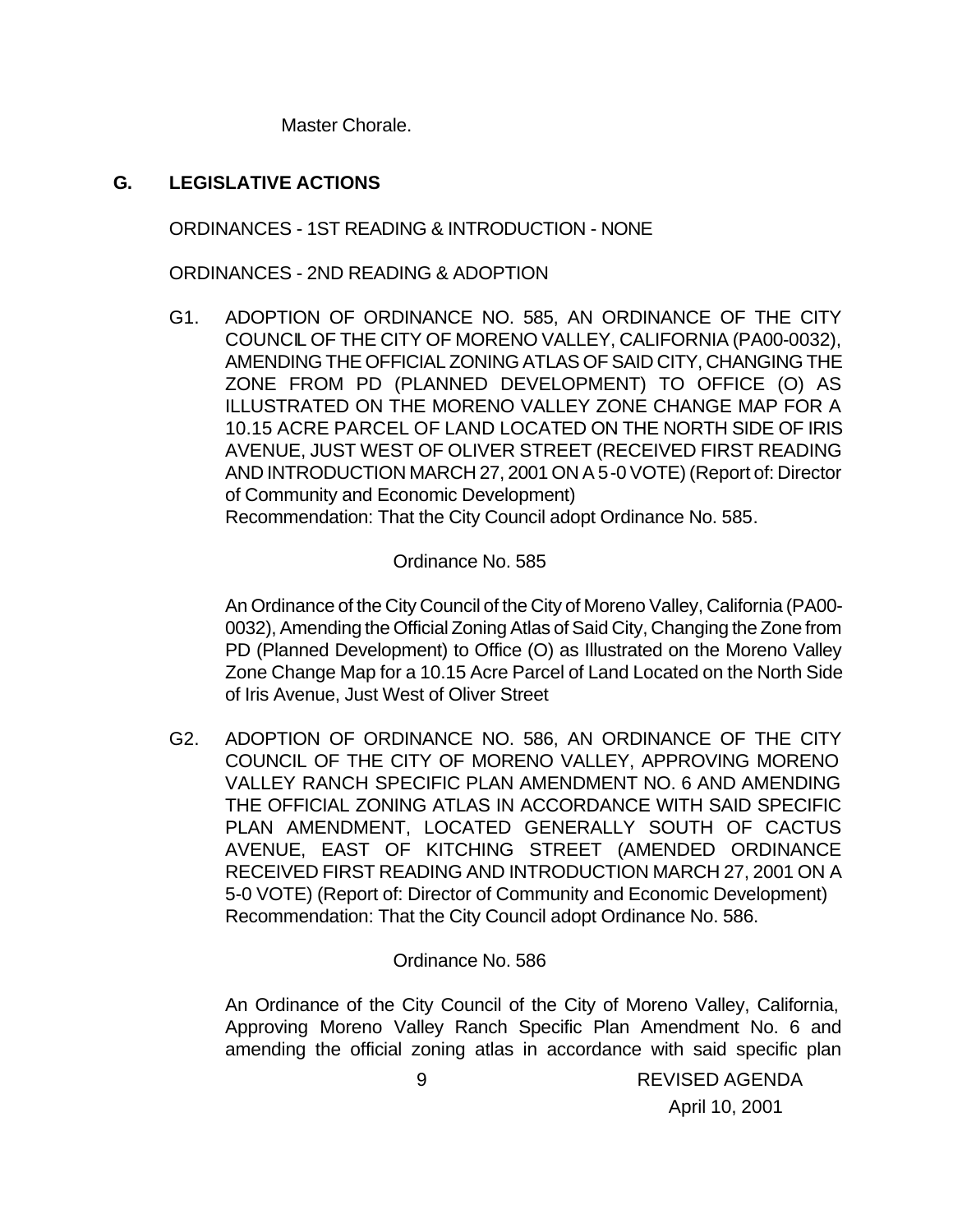Master Chorale.

### **G. LEGISLATIVE ACTIONS**

ORDINANCES - 1ST READING & INTRODUCTION - NONE

ORDINANCES - 2ND READING & ADOPTION

G1. ADOPTION OF ORDINANCE NO. 585, AN ORDINANCE OF THE CITY COUNCIL OF THE CITY OF MORENO VALLEY, CALIFORNIA (PA00-0032), AMENDING THE OFFICIAL ZONING ATLAS OF SAID CITY, CHANGING THE ZONE FROM PD (PLANNED DEVELOPMENT) TO OFFICE (O) AS ILLUSTRATED ON THE MORENO VALLEY ZONE CHANGE MAP FOR A 10.15 ACRE PARCEL OF LAND LOCATED ON THE NORTH SIDE OF IRIS AVENUE, JUST WEST OF OLIVER STREET (RECEIVED FIRST READING AND INTRODUCTION MARCH 27, 2001 ON A 5-0 VOTE) (Report of: Director of Community and Economic Development) Recommendation: That the City Council adopt Ordinance No. 585.

Ordinance No. 585

An Ordinance of the City Council of the City of Moreno Valley, California (PA00- 0032), Amending the Official Zoning Atlas of Said City, Changing the Zone from PD (Planned Development) to Office (O) as Illustrated on the Moreno Valley Zone Change Map for a 10.15 Acre Parcel of Land Located on the North Side of Iris Avenue, Just West of Oliver Street

G2. ADOPTION OF ORDINANCE NO. 586, AN ORDINANCE OF THE CITY COUNCIL OF THE CITY OF MORENO VALLEY, APPROVING MORENO VALLEY RANCH SPECIFIC PLAN AMENDMENT NO. 6 AND AMENDING THE OFFICIAL ZONING ATLAS IN ACCORDANCE WITH SAID SPECIFIC PLAN AMENDMENT, LOCATED GENERALLY SOUTH OF CACTUS AVENUE, EAST OF KITCHING STREET (AMENDED ORDINANCE RECEIVED FIRST READING AND INTRODUCTION MARCH 27, 2001 ON A 5-0 VOTE) (Report of: Director of Community and Economic Development) Recommendation: That the City Council adopt Ordinance No. 586.

### Ordinance No. 586

An Ordinance of the City Council of the City of Moreno Valley, California, Approving Moreno Valley Ranch Specific Plan Amendment No. 6 and amending the official zoning atlas in accordance with said specific plan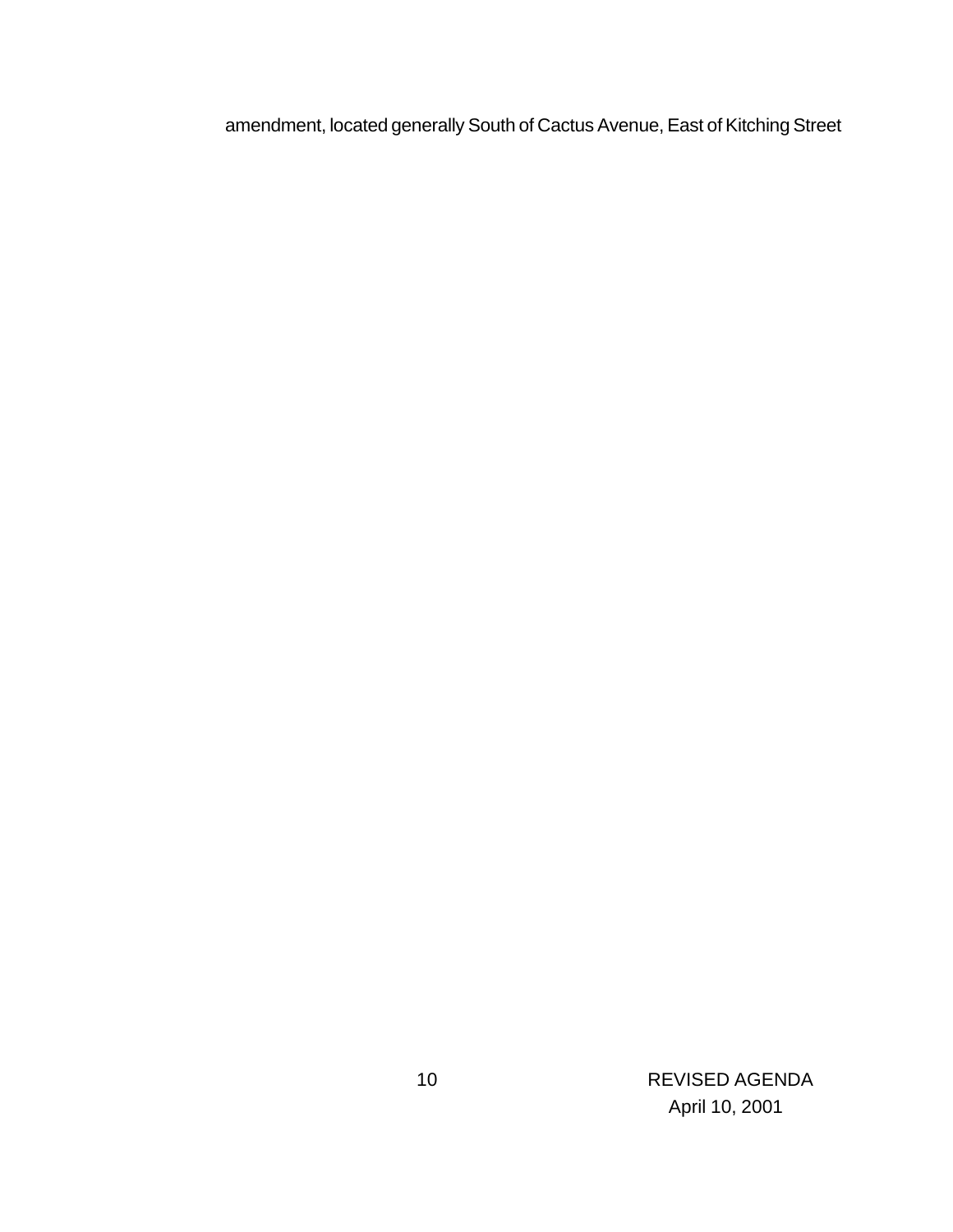amendment, located generally South of Cactus Avenue, East of Kitching Street

 10 REVISED AGENDA April 10, 2001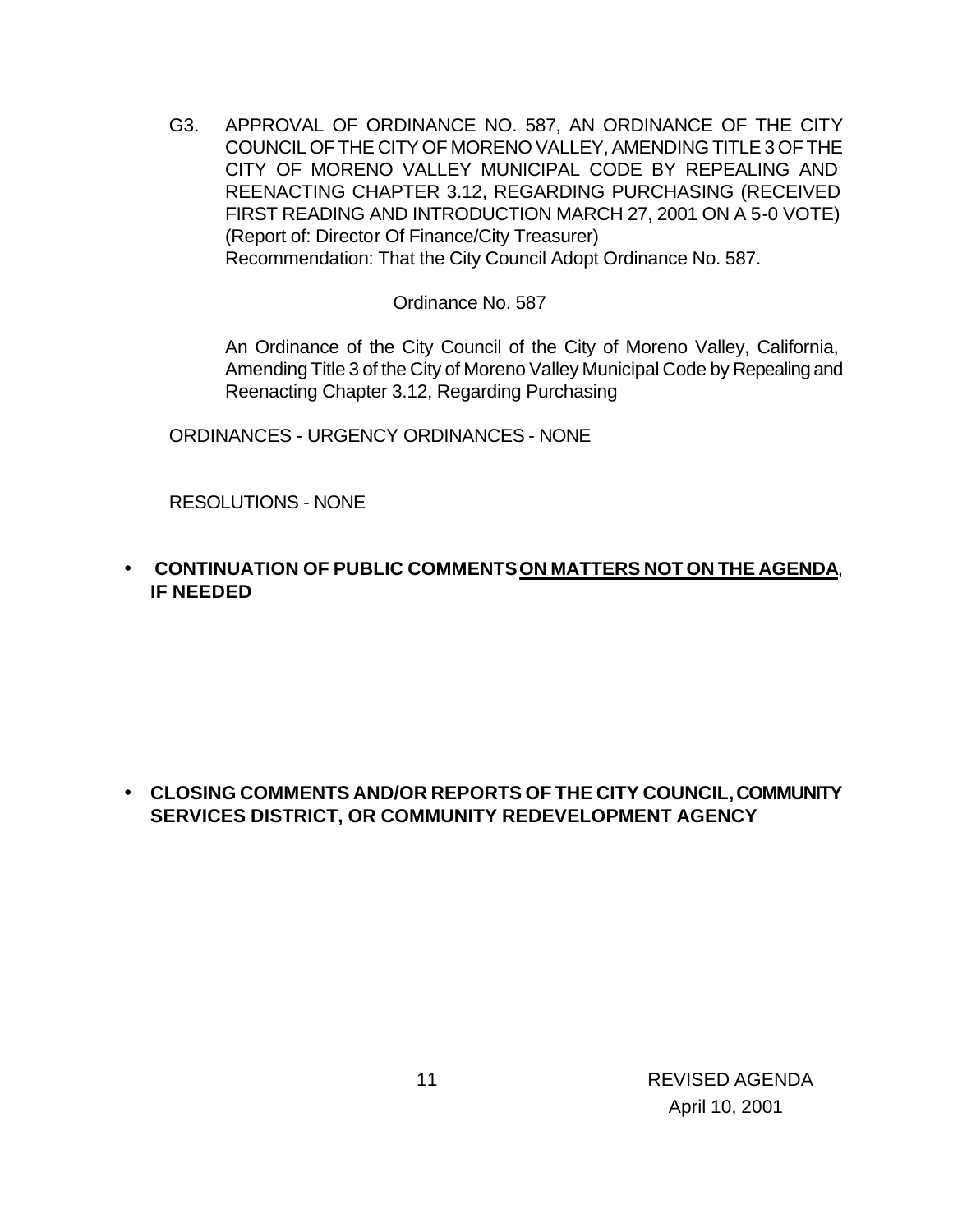G3. APPROVAL OF ORDINANCE NO. 587, AN ORDINANCE OF THE CITY COUNCIL OF THE CITY OF MORENO VALLEY, AMENDING TITLE 3 OF THE CITY OF MORENO VALLEY MUNICIPAL CODE BY REPEALING AND REENACTING CHAPTER 3.12, REGARDING PURCHASING (RECEIVED FIRST READING AND INTRODUCTION MARCH 27, 2001 ON A 5-0 VOTE) (Report of: Director Of Finance/City Treasurer) Recommendation: That the City Council Adopt Ordinance No. 587.

Ordinance No. 587

An Ordinance of the City Council of the City of Moreno Valley, California, Amending Title 3 of the City of Moreno Valley Municipal Code by Repealing and Reenacting Chapter 3.12, Regarding Purchasing

ORDINANCES - URGENCY ORDINANCES - NONE

RESOLUTIONS - NONE

• **CONTINUATION OF PUBLIC COMMENTS ON MATTERS NOT ON THE AGENDA**, **IF NEEDED**

• **CLOSING COMMENTS AND/OR REPORTS OF THE CITY COUNCIL, COMMUNITY SERVICES DISTRICT, OR COMMUNITY REDEVELOPMENT AGENCY**